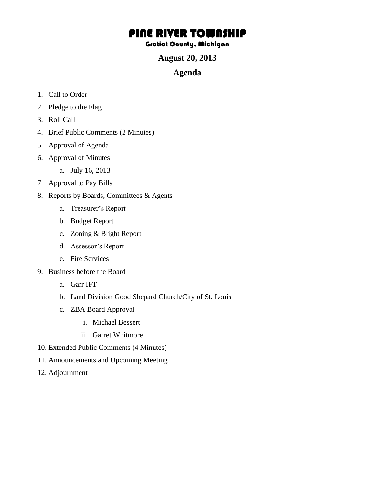# PINE RIVER TOWNSHIP

#### Gratiot County, Michigan

## **August 20, 2013**

## **Agenda**

- 1. Call to Order
- 2. Pledge to the Flag
- 3. Roll Call
- 4. Brief Public Comments (2 Minutes)
- 5. Approval of Agenda
- 6. Approval of Minutes
	- a. July 16, 2013
- 7. Approval to Pay Bills
- 8. Reports by Boards, Committees & Agents
	- a. Treasurer's Report
	- b. Budget Report
	- c. Zoning & Blight Report
	- d. Assessor's Report
	- e. Fire Services
- 9. Business before the Board
	- a. Garr IFT
	- b. Land Division Good Shepard Church/City of St. Louis
	- c. ZBA Board Approval
		- i. Michael Bessert
		- ii. Garret Whitmore
- 10. Extended Public Comments (4 Minutes)
- 11. Announcements and Upcoming Meeting
- 12. Adjournment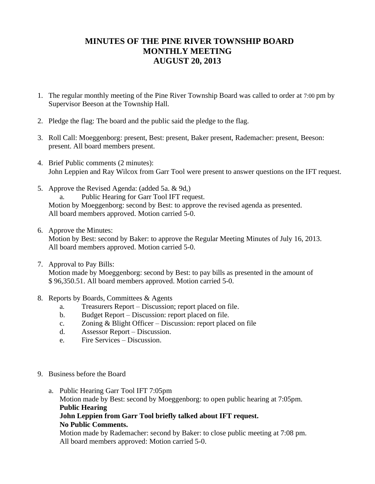# **MINUTES OF THE PINE RIVER TOWNSHIP BOARD MONTHLY MEETING AUGUST 20, 2013**

- 1. The regular monthly meeting of the Pine River Township Board was called to order at 7:00 pm by Supervisor Beeson at the Township Hall.
- 2. Pledge the flag: The board and the public said the pledge to the flag.
- 3. Roll Call: Moeggenborg: present, Best: present, Baker present, Rademacher: present, Beeson: present. All board members present.
- 4. Brief Public comments (2 minutes): John Leppien and Ray Wilcox from Garr Tool were present to answer questions on the IFT request.
- 5. Approve the Revised Agenda: (added 5a. & 9d,) a. Public Hearing for Garr Tool IFT request. Motion by Moeggenborg: second by Best: to approve the revised agenda as presented. All board members approved. Motion carried 5-0.
- 6. Approve the Minutes:

Motion by Best: second by Baker: to approve the Regular Meeting Minutes of July 16, 2013. All board members approved. Motion carried 5-0.

- 7. Approval to Pay Bills: Motion made by Moeggenborg: second by Best: to pay bills as presented in the amount of \$ 96,350.51. All board members approved. Motion carried 5-0.
- 8. Reports by Boards, Committees & Agents
	- a. Treasurers Report Discussion; report placed on file.
	- b. Budget Report Discussion: report placed on file.
	- c. Zoning & Blight Officer Discussion: report placed on file
	- d. Assessor Report Discussion.
	- e. Fire Services Discussion.
- 9. Business before the Board
	- a. Public Hearing Garr Tool IFT 7:05pm Motion made by Best: second by Moeggenborg: to open public hearing at 7:05pm. **Public Hearing John Leppien from Garr Tool briefly talked about IFT request. No Public Comments.** Motion made by Rademacher: second by Baker: to close public meeting at 7:08 pm.

All board members approved: Motion carried 5-0.